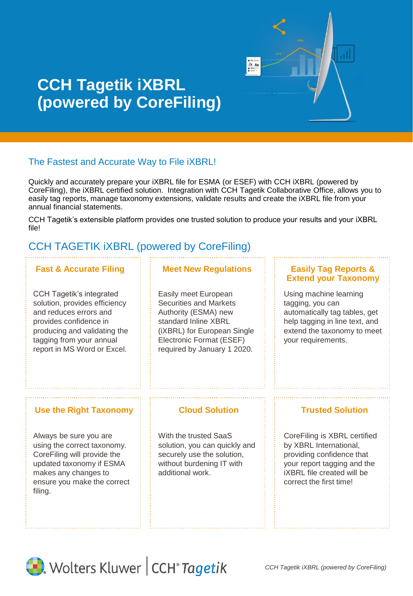

# **CCH Tagetik iXBRL (powered by CoreFiling)**

# The Fastest and Accurate Way to File iXBRL!

Quickly and accurately prepare your iXBRL file for ESMA (or ESEF) with CCH iXBRL (powered by CoreFiling), the iXBRL certified solution. Integration with CCH Tagetik Collaborative Office, allows you to easily tag reports, manage taxonomy extensions, validate results and create the iXBRL file from your annual financial statements.

CCH Tagetik's extensible platform provides one trusted solution to produce your results and your iXBRL file!

# CCH TAGETIK iXBRL (powered by CoreFiling)

CCH Tagetik's integrated solution, provides efficiency and reduces errors and provides confidence in producing and validating the tagging from your annual report in MS Word or Excel.

# **Fast & Accurate Filing Fig. 3. Meet New Regulations**

Easily meet European Securities and Markets Authority (ESMA) new standard Inline XBRL (iXBRL) for European Single Electronic Format (ESEF) required by January 1 2020.

### **Easily Tag Reports & Extend your Taxonomy**

Using machine learning tagging, you can automatically tag tables, get help tagging in line text, and extend the taxonomy to meet your requirements.

## **Use the Right Taxonomy Cloud Solution Trusted Solution**

Always be sure you are using the correct taxonomy. CoreFiling will provide the updated taxonomy if ESMA makes any changes to ensure you make the correct filing.

With the trusted SaaS solution, you can quickly and securely use the solution, without burdening IT with additional work.

CoreFiling is XBRL certified by XBRL International, providing confidence that your report tagging and the iXBRL file created will be correct the first time!